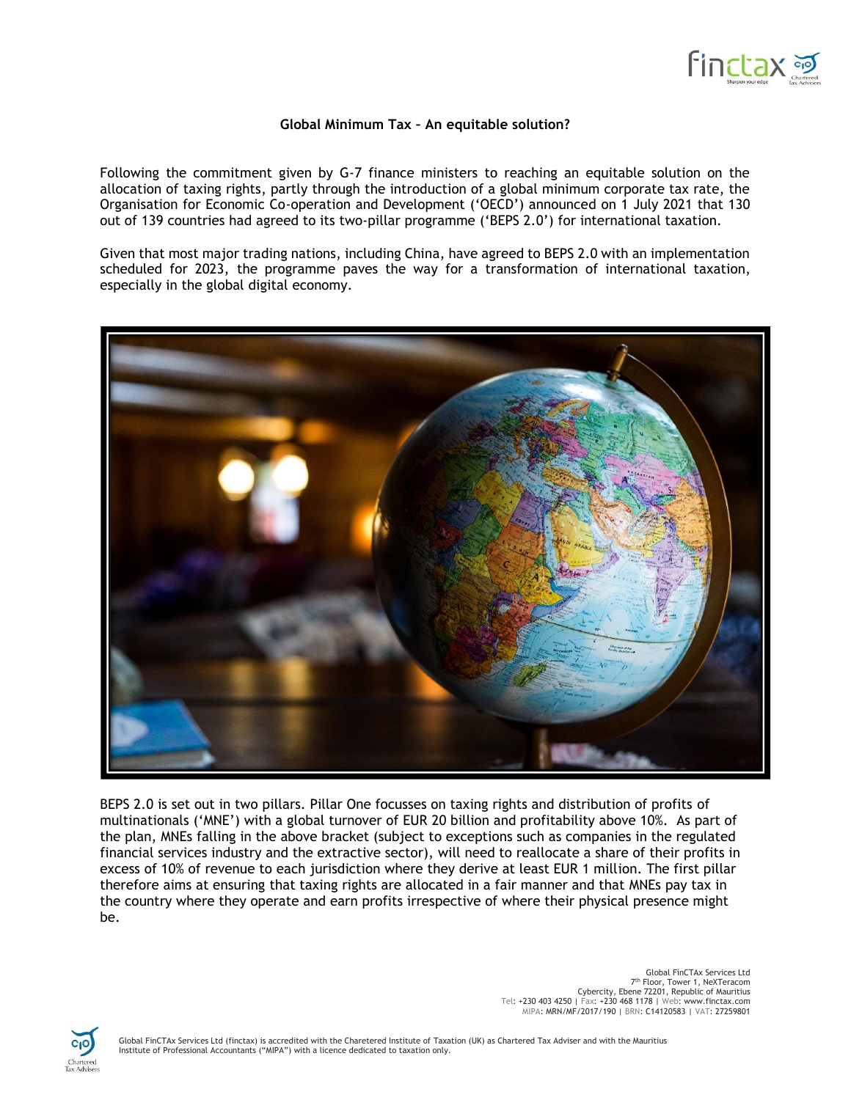

## **Global Minimum Tax – An equitable solution?**

Following the commitment given by G-7 finance ministers to reaching an equitable solution on the allocation of taxing rights, partly through the introduction of a global minimum corporate tax rate, the Organisation for Economic Co-operation and Development ('OECD') announced on 1 July 2021 that 130 out of 139 countries had agreed to its two-pillar programme ('BEPS 2.0') for international taxation.

Given that most major trading nations, including China, have agreed to BEPS 2.0 with an implementation scheduled for 2023, the programme paves the way for a transformation of international taxation, especially in the global digital economy.



BEPS 2.0 is set out in two pillars. Pillar One focusses on taxing rights and distribution of profits of multinationals ('MNE') with a global turnover of EUR 20 billion and profitability above 10%. As part of the plan, MNEs falling in the above bracket (subject to exceptions such as companies in the regulated financial services industry and the extractive sector), will need to reallocate a share of their profits in excess of 10% of revenue to each jurisdiction where they derive at least EUR 1 million. The first pillar therefore aims at ensuring that taxing rights are allocated in a fair manner and that MNEs pay tax in the country where they operate and earn profits irrespective of where their physical presence might be.

> Global FinCTAx Services Ltd <sup>7th</sup> Floor, Tower 1, NeXTeracom<br>Cybercity, Ebene 72201, Republic of Mauritius<br>Tel: +230 403 4250 | Fax: +230 468 1178 | Web: www.finctax.com MIPA: MRN/MF/2017/190 | BRN: C14120583 | VAT: 27259801